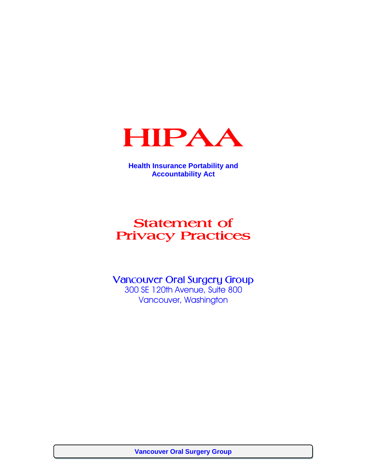

**Health Insurance Portability and Accountability Act**

# Statement of Privacy Practices

Vancouver Oral Surgery Group

300 SE 120th Avenue, Suite 800 Vancouver, Washington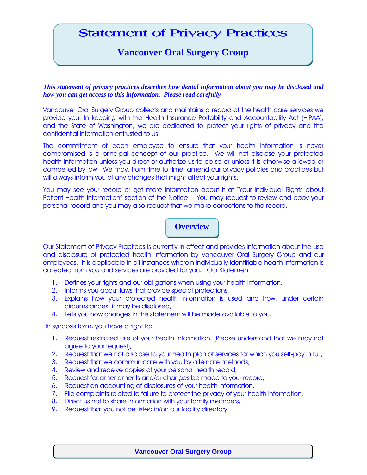# Statement of Privacy Practices

# **Vancouver Oral Surgery Group**

*This statement of privacy practices describes how dental information about you may be disclosed and how you can get access to this information. Please read carefully*

Vancouver Oral Surgery Group collects and maintains a record of the health care services we provide you. In keeping with the Health Insurance Portability and Accountability Act (HIPAA), and the State of Washington, we are dedicated to protect your rights of privacy and the confidential information entrusted to us.

The commitment of each employee to ensure that your health information is never compromised is a principal concept of our practice. We will not disclose your protected health information unless you direct or authorize us to do so or unless it is otherwise allowed or compelled by law. We may, from time to time, amend our privacy policies and practices but will always inform you of any changes that might affect your rights.

You may see your record or get more information about it at "Your Individual Rights about Patient Health Information" section of the Notice. You may request to review and copy your personal record and you may also request that we make corrections to the record.

## **Overview**

Our Statement of Privacy Practices is currently in effect and provides information about the use and disclosure of protected health information by Vancouver Oral Surgery Group and our employees. It is applicable in all instances wherein individually identifiable health information is collected from you and services are provided for you. Our Statement:

- 1. Defines your rights and our obligations when using your health Information,
- 2. Informs you about laws that provide special protections,
- 3. Explains how your protected health information is used and how, under certain circumstances, it may be disclosed,
- 4. Tells you how changes in this statement will be made available to you.

In synopsis form, you have a right to:

- 1. Request restricted use of your health information. (Please understand that we may not agree to your request),
- 2. Request that we not disclose to your health plan of services for which you self-pay in full,
- 3. Request that we communicate with you by alternate methods,
- 4. Review and receive copies of your personal health record,
- 5. Request for amendments and/or changes be made to your record,
- 6. Request an accounting of disclosures of your health information,
- 7. File complaints related to failure to protect the privacy of your health information,
- 8. Direct us not to share information with your family members,
- 9. Request that you not be listed in/on our facility directory.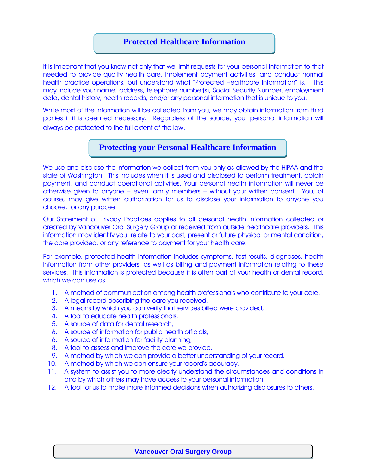### **Protected Healthcare Information**

It is important that you know not only that we limit requests for your personal information to that needed to provide quality health care, implement payment activities, and conduct normal health practice operations, but understand what "Protected Healthcare Information" is. This may include your name, address, telephone number(s), Social Security Number, employment data, dental history, health records, and/or any personal information that is unique to you.

While most of the information will be collected from you, we may obtain information from third parties if it is deemed necessary. Regardless of the source, your personal information will always be protected to the full extent of the law.

### **Protecting your Personal Healthcare Information**

We use and disclose the information we collect from you only as allowed by the HIPAA and the state of Washington. This includes when it is used and disclosed to perform treatment, obtain payment, and conduct operational activities. Your personal health information will never be otherwise given to anyone – even family members – without your written consent. You, of course, may give written authorization for us to disclose your information to anyone you choose, for any purpose.

Our Statement of Privacy Practices applies to all personal health information collected or created by Vancouver Oral Surgery Group or received from outside healthcare providers. This information may identify you, relate to your past, present or future physical or mental condition, the care provided, or any reference to payment for your health care.

For example, protected health information includes symptoms, test results, diagnoses, health information from other providers, as well as billing and payment information relating to these services. This information is protected because it is often part of your health or dental record, which we can use as:

- 1. A method of communication among health professionals who contribute to your care,
- 2. A legal record describing the care you received,
- 3. A means by which you can verify that services billed were provided,
- 4. A tool to educate health professionals,
- 5. A source of data for dental research,
- 6. A source of information for public health officials,
- 6. A source of information for facility planning,
- 8. A tool to assess and improve the care we provide,
- 9. A method by which we can provide a better understanding of your record,
- 10. A method by which we can ensure your record's accuracy,
- 11. A system to assist you to more clearly understand the circumstances and conditions in and by which others may have access to your personal information.
- 12. A tool for us to make more informed decisions when authorizing disclosures to others.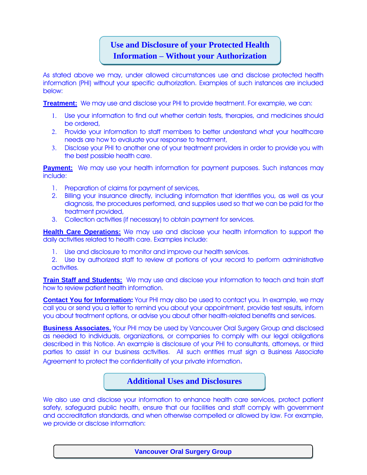# **Use and Disclosure of your Protected Health Information – Without your Authorization**

As stated above we may, under allowed circumstances use and disclose protected health information (PHI) without your specific authorization. Examples of such instances are included below:

**Treatment:** We may use and disclose your PHI to provide treatment. For example, we can:

- Use your information to find out whether certain tests, therapies, and medicines should be ordered,
- 2. Provide your information to staff members to better understand what your healthcare needs are how to evaluate your response to treatment,
- Disclose your PHI to another one of your treatment providers in order to provide you with the best possible health care.

**Payment:** We may use your health information for payment purposes. Such instances may include:

- 1. Preparation of claims for payment of services,
- 2. Billing your insurance directly, including information that identifies you, as well as your diagnosis, the procedures performed, and supplies used so that we can be paid for the treatment provided,
- 3. Collection activities (if necessary) to obtain payment for services.

**Health Care Operations:** We may use and disclose your health information to support the daily activities related to health care. Examples include:

- 1. Use and disclosure to monitor and improve our health services.
- 2. Use by authorized staff to review at portions of your record to perform administrative activities.

**Train Staff and Students:** We may use and disclose your information to teach and train staff how to review patient health information.

**Contact You for Information:** Your PHI may also be used to contact you. In example, we may call you or send you a letter to remind you about your appointment, provide test results, inform you about treatment options, or advise you about other health-related benefits and services.

**Business Associates.** Your PHI may be used by Vancouver Oral Surgery Group and disclosed as needed to individuals, organizations, or companies to comply with our legal obligations described in this Notice. An example is disclosure of your PHI to consultants, attorneys, or third parties to assist in our business activities. All such entities must sign a Business Associate Agreement to protect the confidentiality of your private information.

#### **Additional Uses and Disclosures**

We also use and disclose your information to enhance health care services, protect patient safety, safeguard public health, ensure that our facilities and staff comply with government and accreditation standards, and when otherwise compelled or allowed by law. For example, we provide or disclose information: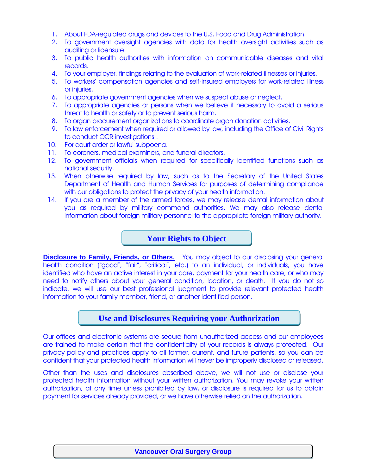- 1. About FDA-regulated drugs and devices to the U.S. Food and Drug Administration.
- 2. To government oversight agencies with data for health oversight activities such as auditing or licensure.
- 3. To public health authorities with information on communicable diseases and vital records.
- 4. To your employer, findings relating to the evaluation of work-related illnesses or injuries.
- 5. To workers' compensation agencies and self-insured employers for work-related illness or injuries.
- 6. To appropriate government agencies when we suspect abuse or neglect.
- 7. To appropriate agencies or persons when we believe it necessary to avoid a serious threat to health or safety or to prevent serious harm.
- 8. To organ procurement organizations to coordinate organ donation activities.
- 9. To law enforcement when required or allowed by law, including the Office of Civil Rights to conduct OCR investigations..
- 10. For court order or lawful subpoena.<br>11. To coroners, medical examiners, an
- 11. To coroners, medical examiners, and funeral directors.
- 12. To government officials when required for specifically identified functions such as national security.
- 13. When otherwise required by law, such as to the Secretary of the United States Department of Health and Human Services for purposes of determining compliance with our obligations to protect the privacy of your health information.
- 14. If you are a member of the armed forces, we may release dental information about you as required by military command authorities. We may also release dental information about foreign military personnel to the appropriate foreign military authority.

#### **Your Rights to Object**

**Disclosure to Family, Friends, or Others.** You may object to our disclosing your general health condition ("good", "fair", "critical", etc.) to an individual, or individuals, you have identified who have an active interest in your care, payment for your health care, or who may need to notify others about your general condition, location, or death. If you do not so indicate, we will use our best professional judgment to provide relevant protected health information to your family member, friend, or another identified person.

#### **Use and Disclosures Requiring your Authorization**

Our offices and electronic systems are secure from unauthorized access and our employees are trained to make certain that the confidentiality of your records is always protected. Our privacy policy and practices apply to all former, current, and future patients, so you can be confident that your protected health information will never be improperly disclosed or released.

Other than the uses and disclosures described above, we will not use or disclose your protected health information without your written authorization. You may revoke your written authorization, at any time unless prohibited by law, or disclosure is required for us to obtain payment for services already provided, or we have otherwise relied on the authorization.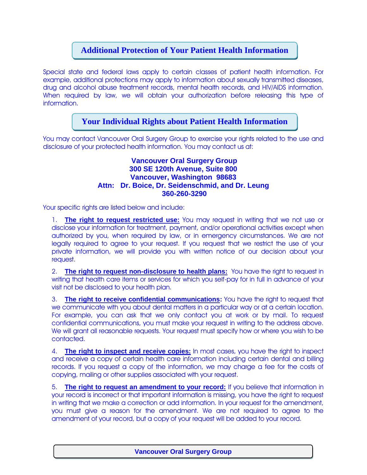## **Additional Protection of Your Patient Health Information**

Special state and federal laws apply to certain classes of patient health information. For example, additional protections may apply to information about sexually transmitted diseases, drug and alcohol abuse treatment records, mental health records, and HIV/AIDS information. When required by law, we will obtain your authorization before releasing this type of information.

### **Your Individual Rights about Patient Health Information**

You may contact Vancouver Oral Surgery Group to exercise your rights related to the use and disclosure of your protected health information. You may contact us at:

#### **Vancouver Oral Surgery Group 300 SE 120th Avenue, Suite 800 Vancouver, Washington 98683 Attn: Dr. Boice, Dr. Seidenschmid, and Dr. Leung 360-260-3290**

Your specific rights are listed below and include:

1. **The right to request restricted use:** You may request in writing that we not use or disclose your information for treatment, payment, and/or operational activities except when authorized by you, when required by law, or in emergency circumstances. We are not legally required to agree to your request. If you request that we restrict the use of your private information, we will provide you with written notice of our decision about your request.

2. **The right to request non-disclosure to health plans:** You have the right to request in writing that health care items or services for which you self-pay for in full in advance of your visit not be disclosed to your health plan.

3. **The right to receive confidential communications:** You have the right to request that we communicate with you about dental matters in a particular way or at a certain location. For example, you can ask that we only contact you at work or by mail. To request confidential communications, you must make your request in writing to the address above. We will grant all reasonable requests. Your request must specify how or where you wish to be contacted.

4. **The right to inspect and receive copies:** In most cases, you have the right to inspect and receive a copy of certain health care information including certain dental and billing records. If you request a copy of the information, we may charge a fee for the costs of copying, mailing or other supplies associated with your request.

5. **The right to request an amendment to your record:** If you believe that information in your record is incorrect or that important information is missing, you have the right to request in writing that we make a correction or add information. In your request for the amendment, you must give a reason for the amendment. We are not required to agree to the amendment of your record, but a copy of your request will be added to your record.